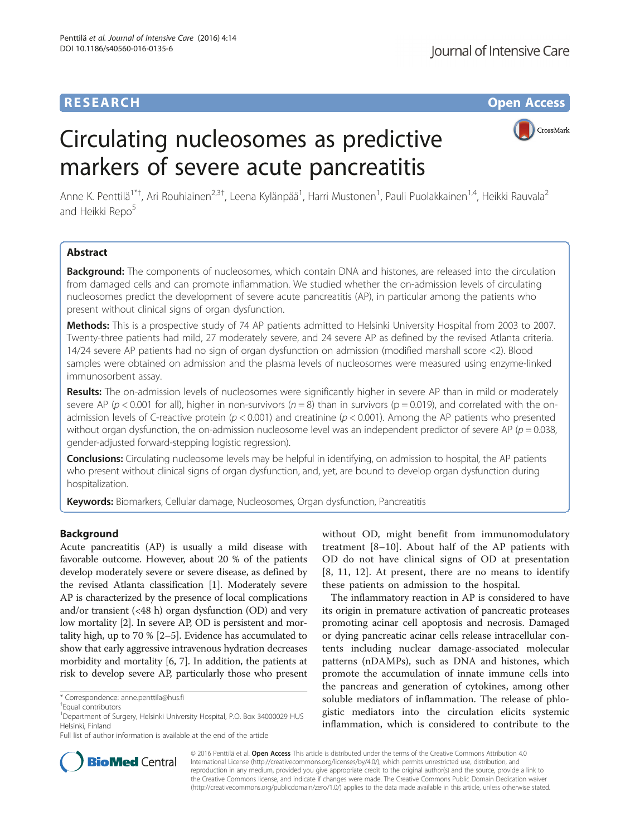# **RESEARCH CHE Open Access**

Journal of Intensive Care

# Circulating nucleosomes as predictive markers of severe acute pancreatitis



Anne K. Penttilä<sup>1\*†</sup>, Ari Rouhiainen<sup>2,3†</sup>, Leena Kylänpää<sup>1</sup>, Harri Mustonen<sup>1</sup>, Pauli Puolakkainen<sup>1,4</sup>, Heikki Rauvala<sup>2</sup> and Heikki Repo<sup>5</sup>

# Abstract

Background: The components of nucleosomes, which contain DNA and histones, are released into the circulation from damaged cells and can promote inflammation. We studied whether the on-admission levels of circulating nucleosomes predict the development of severe acute pancreatitis (AP), in particular among the patients who present without clinical signs of organ dysfunction.

Methods: This is a prospective study of 74 AP patients admitted to Helsinki University Hospital from 2003 to 2007. Twenty-three patients had mild, 27 moderately severe, and 24 severe AP as defined by the revised Atlanta criteria. 14/24 severe AP patients had no sign of organ dysfunction on admission (modified marshall score <2). Blood samples were obtained on admission and the plasma levels of nucleosomes were measured using enzyme-linked immunosorbent assay.

Results: The on-admission levels of nucleosomes were significantly higher in severe AP than in mild or moderately severe AP ( $p < 0.001$  for all), higher in non-survivors ( $n = 8$ ) than in survivors ( $p = 0.019$ ), and correlated with the onadmission levels of C-reactive protein ( $p < 0.001$ ) and creatinine ( $p < 0.001$ ). Among the AP patients who presented without organ dysfunction, the on-admission nucleosome level was an independent predictor of severe AP ( $p = 0.038$ , gender-adjusted forward-stepping logistic regression).

Conclusions: Circulating nucleosome levels may be helpful in identifying, on admission to hospital, the AP patients who present without clinical signs of organ dysfunction, and, yet, are bound to develop organ dysfunction during hospitalization.

Keywords: Biomarkers, Cellular damage, Nucleosomes, Organ dysfunction, Pancreatitis

# Background

Acute pancreatitis (AP) is usually a mild disease with favorable outcome. However, about 20 % of the patients develop moderately severe or severe disease, as defined by the revised Atlanta classification [\[1](#page-7-0)]. Moderately severe AP is characterized by the presence of local complications and/or transient (<48 h) organ dysfunction (OD) and very low mortality [\[2](#page-7-0)]. In severe AP, OD is persistent and mortality high, up to 70 % [[2](#page-7-0)–[5](#page-7-0)]. Evidence has accumulated to show that early aggressive intravenous hydration decreases morbidity and mortality [[6](#page-7-0), [7\]](#page-7-0). In addition, the patients at risk to develop severe AP, particularly those who present

without OD, might benefit from immunomodulatory treatment [\[8](#page-7-0)–[10](#page-7-0)]. About half of the AP patients with OD do not have clinical signs of OD at presentation [[8, 11](#page-7-0), [12\]](#page-7-0). At present, there are no means to identify these patients on admission to the hospital.

The inflammatory reaction in AP is considered to have its origin in premature activation of pancreatic proteases promoting acinar cell apoptosis and necrosis. Damaged or dying pancreatic acinar cells release intracellular contents including nuclear damage-associated molecular patterns (nDAMPs), such as DNA and histones, which promote the accumulation of innate immune cells into the pancreas and generation of cytokines, among other soluble mediators of inflammation. The release of phlogistic mediators into the circulation elicits systemic inflammation, which is considered to contribute to the



© 2016 Penttilä et al. Open Access This article is distributed under the terms of the Creative Commons Attribution 4.0 International License [\(http://creativecommons.org/licenses/by/4.0/](http://creativecommons.org/licenses/by/4.0/)), which permits unrestricted use, distribution, and reproduction in any medium, provided you give appropriate credit to the original author(s) and the source, provide a link to the Creative Commons license, and indicate if changes were made. The Creative Commons Public Domain Dedication waiver [\(http://creativecommons.org/publicdomain/zero/1.0/](http://creativecommons.org/publicdomain/zero/1.0/)) applies to the data made available in this article, unless otherwise stated.

<sup>\*</sup> Correspondence: [anne.penttila@hus.fi](mailto:anne.penttila@hus.fi) †

Equal contributors

<sup>&</sup>lt;sup>1</sup>Department of Surgery, Helsinki University Hospital, P.O. Box 34000029 HUS Helsinki, Finland

Full list of author information is available at the end of the article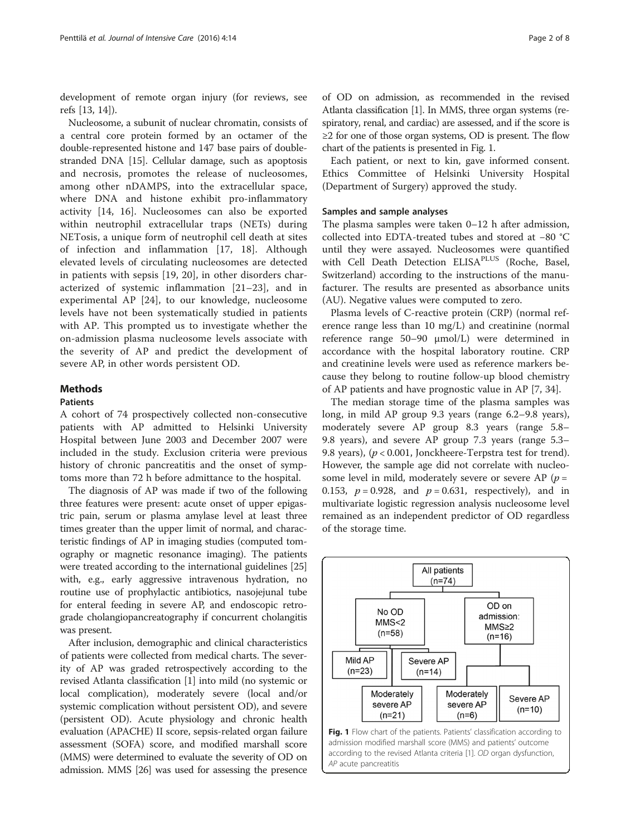<span id="page-1-0"></span>development of remote organ injury (for reviews, see refs [[13](#page-7-0), [14](#page-7-0)]).

Nucleosome, a subunit of nuclear chromatin, consists of a central core protein formed by an octamer of the double-represented histone and 147 base pairs of doublestranded DNA [[15](#page-7-0)]. Cellular damage, such as apoptosis and necrosis, promotes the release of nucleosomes, among other nDAMPS, into the extracellular space, where DNA and histone exhibit pro-inflammatory activity [[14, 16\]](#page-7-0). Nucleosomes can also be exported within neutrophil extracellular traps (NETs) during NETosis, a unique form of neutrophil cell death at sites of infection and inflammation [[17, 18](#page-7-0)]. Although elevated levels of circulating nucleosomes are detected in patients with sepsis [\[19](#page-7-0), [20](#page-7-0)], in other disorders characterized of systemic inflammation [[21](#page-7-0)–[23\]](#page-7-0), and in experimental AP [[24\]](#page-7-0), to our knowledge, nucleosome levels have not been systematically studied in patients with AP. This prompted us to investigate whether the on-admission plasma nucleosome levels associate with the severity of AP and predict the development of severe AP, in other words persistent OD.

# **Methods**

#### Patients

A cohort of 74 prospectively collected non-consecutive patients with AP admitted to Helsinki University Hospital between June 2003 and December 2007 were included in the study. Exclusion criteria were previous history of chronic pancreatitis and the onset of symptoms more than 72 h before admittance to the hospital.

The diagnosis of AP was made if two of the following three features were present: acute onset of upper epigastric pain, serum or plasma amylase level at least three times greater than the upper limit of normal, and characteristic findings of AP in imaging studies (computed tomography or magnetic resonance imaging). The patients were treated according to the international guidelines [[25](#page-7-0)] with, e.g., early aggressive intravenous hydration, no routine use of prophylactic antibiotics, nasojejunal tube for enteral feeding in severe AP, and endoscopic retrograde cholangiopancreatography if concurrent cholangitis was present.

After inclusion, demographic and clinical characteristics of patients were collected from medical charts. The severity of AP was graded retrospectively according to the revised Atlanta classification [\[1](#page-7-0)] into mild (no systemic or local complication), moderately severe (local and/or systemic complication without persistent OD), and severe (persistent OD). Acute physiology and chronic health evaluation (APACHE) II score, sepsis-related organ failure assessment (SOFA) score, and modified marshall score (MMS) were determined to evaluate the severity of OD on admission. MMS [\[26](#page-7-0)] was used for assessing the presence

of OD on admission, as recommended in the revised Atlanta classification [[1](#page-7-0)]. In MMS, three organ systems (respiratory, renal, and cardiac) are assessed, and if the score is ≥2 for one of those organ systems, OD is present. The flow chart of the patients is presented in Fig. 1.

Each patient, or next to kin, gave informed consent. Ethics Committee of Helsinki University Hospital (Department of Surgery) approved the study.

## Samples and sample analyses

The plasma samples were taken 0–12 h after admission, collected into EDTA-treated tubes and stored at −80 °C until they were assayed. Nucleosomes were quantified with Cell Death Detection ELISA<sup>PLUS</sup> (Roche, Basel, Switzerland) according to the instructions of the manufacturer. The results are presented as absorbance units (AU). Negative values were computed to zero.

Plasma levels of C-reactive protein (CRP) (normal reference range less than 10 mg/L) and creatinine (normal reference range 50–90 μmol/L) were determined in accordance with the hospital laboratory routine. CRP and creatinine levels were used as reference markers because they belong to routine follow-up blood chemistry of AP patients and have prognostic value in AP [[7](#page-7-0), [34](#page-7-0)].

The median storage time of the plasma samples was long, in mild AP group 9.3 years (range 6.2–9.8 years), moderately severe AP group 8.3 years (range 5.8– 9.8 years), and severe AP group 7.3 years (range 5.3– 9.8 years),  $(p < 0.001$ , Jonckheere-Terpstra test for trend). However, the sample age did not correlate with nucleosome level in mild, moderately severe or severe AP ( $p =$ 0.153,  $p = 0.928$ , and  $p = 0.631$ , respectively), and in multivariate logistic regression analysis nucleosome level remained as an independent predictor of OD regardless of the storage time.

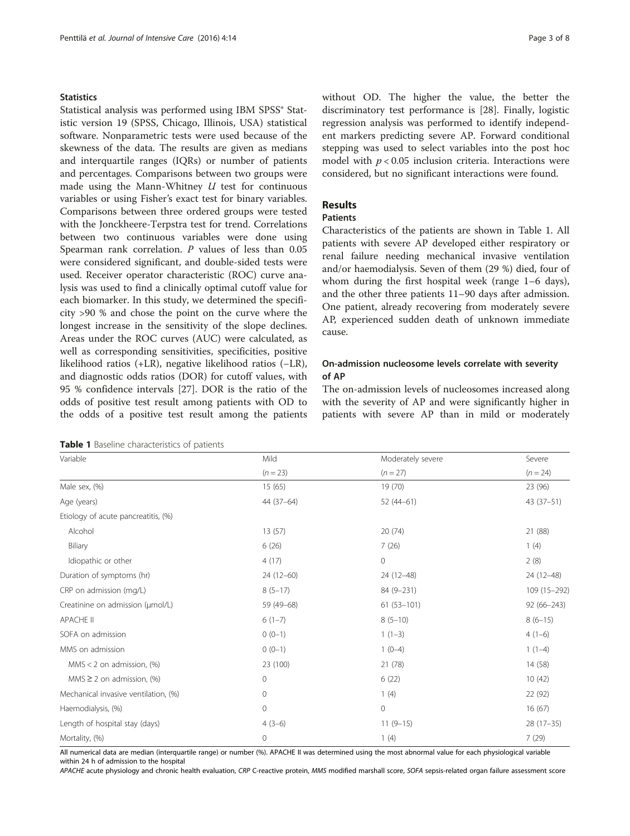# **Statistics**

Statistical analysis was performed using IBM SPSS® Statistic version 19 (SPSS, Chicago, Illinois, USA) statistical software. Nonparametric tests were used because of the skewness of the data. The results are given as medians and interquartile ranges (IQRs) or number of patients and percentages. Comparisons between two groups were made using the Mann-Whitney  $U$  test for continuous variables or using Fisher's exact test for binary variables. Comparisons between three ordered groups were tested with the Jonckheere-Terpstra test for trend. Correlations between two continuous variables were done using Spearman rank correlation. P values of less than 0.05 were considered significant, and double-sided tests were used. Receiver operator characteristic (ROC) curve analysis was used to find a clinically optimal cutoff value for each biomarker. In this study, we determined the specificity >90 % and chose the point on the curve where the longest increase in the sensitivity of the slope declines. Areas under the ROC curves (AUC) were calculated, as well as corresponding sensitivities, specificities, positive likelihood ratios (+LR), negative likelihood ratios (−LR), and diagnostic odds ratios (DOR) for cutoff values, with 95 % confidence intervals [\[27](#page-7-0)]. DOR is the ratio of the odds of positive test result among patients with OD to the odds of a positive test result among the patients

|  |  | Table 1 Baseline characteristics of patients |  |  |
|--|--|----------------------------------------------|--|--|
|--|--|----------------------------------------------|--|--|

without OD. The higher the value, the better the discriminatory test performance is [[28\]](#page-7-0). Finally, logistic regression analysis was performed to identify independent markers predicting severe AP. Forward conditional stepping was used to select variables into the post hoc model with  $p < 0.05$  inclusion criteria. Interactions were considered, but no significant interactions were found.

# Results

# Patients

Characteristics of the patients are shown in Table 1. All patients with severe AP developed either respiratory or renal failure needing mechanical invasive ventilation and/or haemodialysis. Seven of them (29 %) died, four of whom during the first hospital week (range 1–6 days), and the other three patients 11–90 days after admission. One patient, already recovering from moderately severe AP, experienced sudden death of unknown immediate cause.

# On-admission nucleosome levels correlate with severity of AP

The on-admission levels of nucleosomes increased along with the severity of AP and were significantly higher in patients with severe AP than in mild or moderately

| Variable                             | Mild         | Moderately severe | Severe         |  |
|--------------------------------------|--------------|-------------------|----------------|--|
|                                      | $(n = 23)$   | $(n = 27)$        | $(n = 24)$     |  |
| Male sex, (%)                        | 15(65)       | 19(70)            | 23 (96)        |  |
| Age (years)                          | 44 (37-64)   | $52(44-61)$       | $43(37-51)$    |  |
| Etiology of acute pancreatitis, (%)  |              |                   |                |  |
| Alcohol                              | 13(57)       | 20(74)            | 21 (88)        |  |
| Biliary                              | 6(26)        | 7(26)             | 1(4)           |  |
| Idiopathic or other                  | 4(17)        | $\mathbf{0}$      | 2(8)           |  |
| Duration of symptoms (hr)            | $24(12-60)$  | 24 (12-48)        | 24 (12-48)     |  |
| CRP on admission (mg/L)              | $8(5-17)$    | 84 (9-231)        | 109 (15-292)   |  |
| Creatinine on admission (µmol/L)     | 59 (49-68)   | $61(53-101)$      | $92(66 - 243)$ |  |
| <b>APACHE II</b>                     | $6(1-7)$     | $8(5-10)$         | $8(6-15)$      |  |
| SOFA on admission                    | $0(0-1)$     | $1(1-3)$          | $4(1-6)$       |  |
| MMS on admission                     | $0(0-1)$     | $1(0-4)$          | $1(1-4)$       |  |
| $MMS < 2$ on admission, $(\%)$       | 23 (100)     | 21 (78)           | 14(58)         |  |
| MMS $\geq$ 2 on admission, (%)       | $\mathbf{0}$ | 6(22)             | 10(42)         |  |
| Mechanical invasive ventilation, (%) | $\mathbf 0$  | 1(4)              | 22 (92)        |  |
| Haemodialysis, (%)                   | 0            | $\mathbf 0$       | 16(67)         |  |
| Length of hospital stay (days)       | $4(3-6)$     | $11(9-15)$        | $28(17-35)$    |  |
| Mortality, (%)                       | $\mathbf{0}$ | 1(4)              | 7(29)          |  |

All numerical data are median (interquartile range) or number (%). APACHE II was determined using the most abnormal value for each physiological variable within 24 h of admission to the hospital

APACHE acute physiology and chronic health evaluation, CRP C-reactive protein, MMS modified marshall score, SOFA sepsis-related organ failure assessment score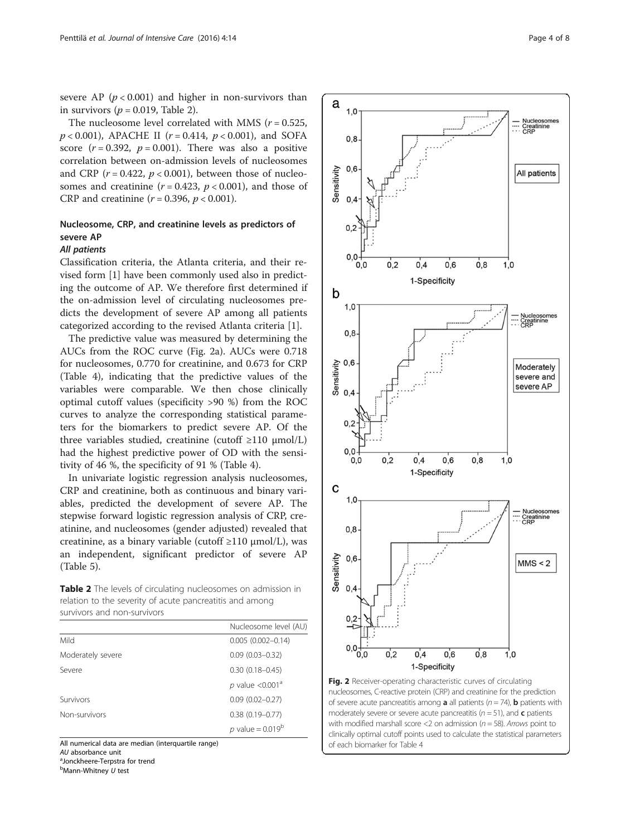<span id="page-3-0"></span>severe AP ( $p < 0.001$ ) and higher in non-survivors than in survivors ( $p = 0.019$ , Table 2).

The nucleosome level correlated with MMS ( $r = 0.525$ ,  $p < 0.001$ ), APACHE II ( $r = 0.414$ ,  $p < 0.001$ ), and SOFA score  $(r = 0.392, p = 0.001)$ . There was also a positive correlation between on-admission levels of nucleosomes and CRP ( $r = 0.422$ ,  $p < 0.001$ ), between those of nucleosomes and creatinine  $(r = 0.423, p < 0.001)$ , and those of CRP and creatinine ( $r = 0.396$ ,  $p < 0.001$ ).

# Nucleosome, CRP, and creatinine levels as predictors of severe AP

# All patients

Classification criteria, the Atlanta criteria, and their revised form [\[1\]](#page-7-0) have been commonly used also in predicting the outcome of AP. We therefore first determined if the on-admission level of circulating nucleosomes predicts the development of severe AP among all patients categorized according to the revised Atlanta criteria [\[1](#page-7-0)].

The predictive value was measured by determining the AUCs from the ROC curve (Fig. 2a). AUCs were 0.718 for nucleosomes, 0.770 for creatinine, and 0.673 for CRP (Table [4](#page-5-0)), indicating that the predictive values of the variables were comparable. We then chose clinically optimal cutoff values (specificity >90 %) from the ROC curves to analyze the corresponding statistical parameters for the biomarkers to predict severe AP. Of the three variables studied, creatinine (cutoff  $\geq 110 \text{ µmol/L}$ ) had the highest predictive power of OD with the sensitivity of 46 %, the specificity of 91 % (Table [4](#page-5-0)).

In univariate logistic regression analysis nucleosomes, CRP and creatinine, both as continuous and binary variables, predicted the development of severe AP. The stepwise forward logistic regression analysis of CRP, creatinine, and nucleosomes (gender adjusted) revealed that creatinine, as a binary variable (cutoff ≥110 μmol/L), was an independent, significant predictor of severe AP (Table [5\)](#page-6-0).

Table 2 The levels of circulating nucleosomes on admission in relation to the severity of acute pancreatitis and among survivors and non-survivors

|                   | Nucleosome level (AU)        |
|-------------------|------------------------------|
| Mild              | $0.005(0.002 - 0.14)$        |
| Moderately severe | $0.09$ $(0.03 - 0.32)$       |
| Severe            | $0.30(0.18 - 0.45)$          |
|                   | p value < $0.001a$           |
| Survivors         | $0.09(0.02 - 0.27)$          |
| Non-survivors     | $0.38(0.19 - 0.77)$          |
|                   | <i>p</i> value = $0.019^{b}$ |

All numerical data are median (interquartile range)

A*U* absorbance unit<br><sup>a</sup>Jonckheere-Terpstra for trend

<sup>b</sup>Mann-Whitney U test



nucleosomes, C-reactive protein (CRP) and creatinine for the prediction of severe acute pancreatitis among **a** all patients ( $n = 74$ ), **b** patients with moderately severe or severe acute pancreatitis ( $n = 51$ ), and **c** patients with modified marshall score <2 on admission ( $n = 58$ ). Arrows point to clinically optimal cutoff points used to calculate the statistical parameters of each biomarker for Table [4](#page-5-0)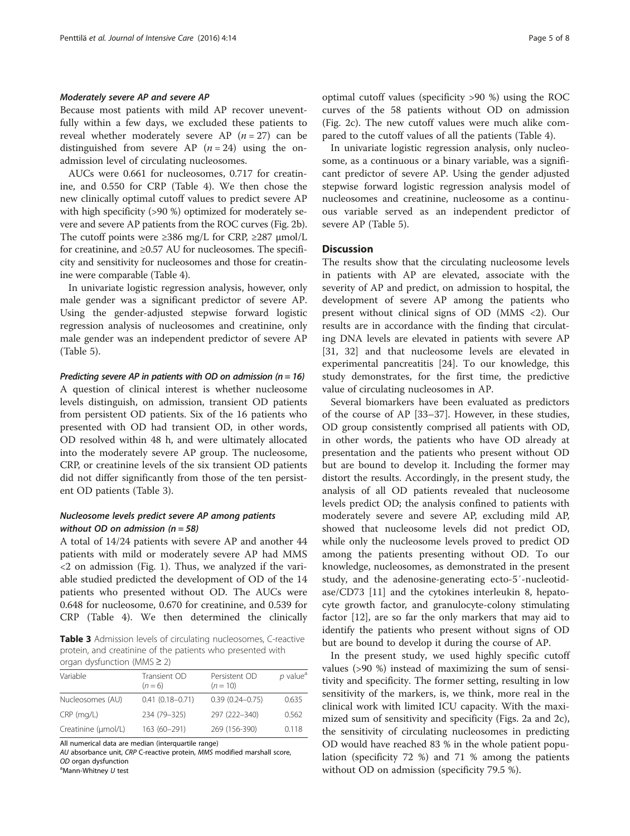#### <span id="page-4-0"></span>Moderately severe AP and severe AP

Because most patients with mild AP recover uneventfully within a few days, we excluded these patients to reveal whether moderately severe AP  $(n = 27)$  can be distinguished from severe AP  $(n = 24)$  using the onadmission level of circulating nucleosomes.

AUCs were 0.661 for nucleosomes, 0.717 for creatinine, and 0.550 for CRP (Table [4](#page-5-0)). We then chose the new clinically optimal cutoff values to predict severe AP with high specificity (>90 %) optimized for moderately severe and severe AP patients from the ROC curves (Fig. [2b](#page-3-0)). The cutoff points were  $\geq 386$  mg/L for CRP,  $\geq 287$  µmol/L for creatinine, and  $\geq 0.57$  AU for nucleosomes. The specificity and sensitivity for nucleosomes and those for creatinine were comparable (Table [4\)](#page-5-0).

In univariate logistic regression analysis, however, only male gender was a significant predictor of severe AP. Using the gender-adjusted stepwise forward logistic regression analysis of nucleosomes and creatinine, only male gender was an independent predictor of severe AP (Table [5\)](#page-6-0).

Predicting severe AP in patients with OD on admission ( $n = 16$ )

A question of clinical interest is whether nucleosome levels distinguish, on admission, transient OD patients from persistent OD patients. Six of the 16 patients who presented with OD had transient OD, in other words, OD resolved within 48 h, and were ultimately allocated into the moderately severe AP group. The nucleosome, CRP, or creatinine levels of the six transient OD patients did not differ significantly from those of the ten persistent OD patients (Table 3).

#### Nucleosome levels predict severe AP among patients without OD on admission ( $n = 58$ )

A total of 14/24 patients with severe AP and another 44 patients with mild or moderately severe AP had MMS  $\langle$  2 on admission (Fig. [1](#page-1-0)). Thus, we analyzed if the variable studied predicted the development of OD of the 14 patients who presented without OD. The AUCs were 0.648 for nucleosome, 0.670 for creatinine, and 0.539 for CRP (Table [4](#page-5-0)). We then determined the clinically

Table 3 Admission levels of circulating nucleosomes, C-reactive protein, and creatinine of the patients who presented with organ dysfunction (MMS ≥ 2)

| Variable            | Transient OD<br>$(n=6)$ | Persistent OD<br>$(n = 10)$ | $p$ value <sup>a</sup> |  |  |  |  |  |
|---------------------|-------------------------|-----------------------------|------------------------|--|--|--|--|--|
| Nucleosomes (AU)    | $0.41(0.18 - 0.71)$     | $0.39(0.24 - 0.75)$         | 0.635                  |  |  |  |  |  |
| $CRP$ (mg/L)        | 234 (79-325)            | 297 (222-340)               | 0.562                  |  |  |  |  |  |
| Creatinine (µmol/L) | 163 (60-291)            | 269 (156-390)               | 0.118                  |  |  |  |  |  |

All numerical data are median (interquartile range)

AU absorbance unit, CRP C-reactive protein, MMS modified marshall score, OD organ dysfunction

 $^a$ Mann-Whitney  $U$  test

optimal cutoff values (specificity >90 %) using the ROC curves of the 58 patients without OD on admission (Fig. [2c\)](#page-3-0). The new cutoff values were much alike compared to the cutoff values of all the patients (Table [4](#page-5-0)).

In univariate logistic regression analysis, only nucleosome, as a continuous or a binary variable, was a significant predictor of severe AP. Using the gender adjusted stepwise forward logistic regression analysis model of nucleosomes and creatinine, nucleosome as a continuous variable served as an independent predictor of severe AP (Table [5\)](#page-6-0).

#### **Discussion**

The results show that the circulating nucleosome levels in patients with AP are elevated, associate with the severity of AP and predict, on admission to hospital, the development of severe AP among the patients who present without clinical signs of OD (MMS <2). Our results are in accordance with the finding that circulating DNA levels are elevated in patients with severe AP [[31, 32\]](#page-7-0) and that nucleosome levels are elevated in experimental pancreatitis [[24\]](#page-7-0). To our knowledge, this study demonstrates, for the first time, the predictive value of circulating nucleosomes in AP.

Several biomarkers have been evaluated as predictors of the course of AP [[33](#page-7-0)–[37](#page-7-0)]. However, in these studies, OD group consistently comprised all patients with OD, in other words, the patients who have OD already at presentation and the patients who present without OD but are bound to develop it. Including the former may distort the results. Accordingly, in the present study, the analysis of all OD patients revealed that nucleosome levels predict OD; the analysis confined to patients with moderately severe and severe AP, excluding mild AP, showed that nucleosome levels did not predict OD, while only the nucleosome levels proved to predict OD among the patients presenting without OD. To our knowledge, nucleosomes, as demonstrated in the present study, and the adenosine-generating ecto-5′-nucleotidase/CD73 [[11\]](#page-7-0) and the cytokines interleukin 8, hepatocyte growth factor, and granulocyte-colony stimulating factor [\[12](#page-7-0)], are so far the only markers that may aid to identify the patients who present without signs of OD but are bound to develop it during the course of AP.

In the present study, we used highly specific cutoff values (>90 %) instead of maximizing the sum of sensitivity and specificity. The former setting, resulting in low sensitivity of the markers, is, we think, more real in the clinical work with limited ICU capacity. With the maximized sum of sensitivity and specificity (Figs. [2a](#page-3-0) and [2c](#page-3-0)), the sensitivity of circulating nucleosomes in predicting OD would have reached 83 % in the whole patient population (specificity 72 %) and 71 % among the patients without OD on admission (specificity 79.5 %).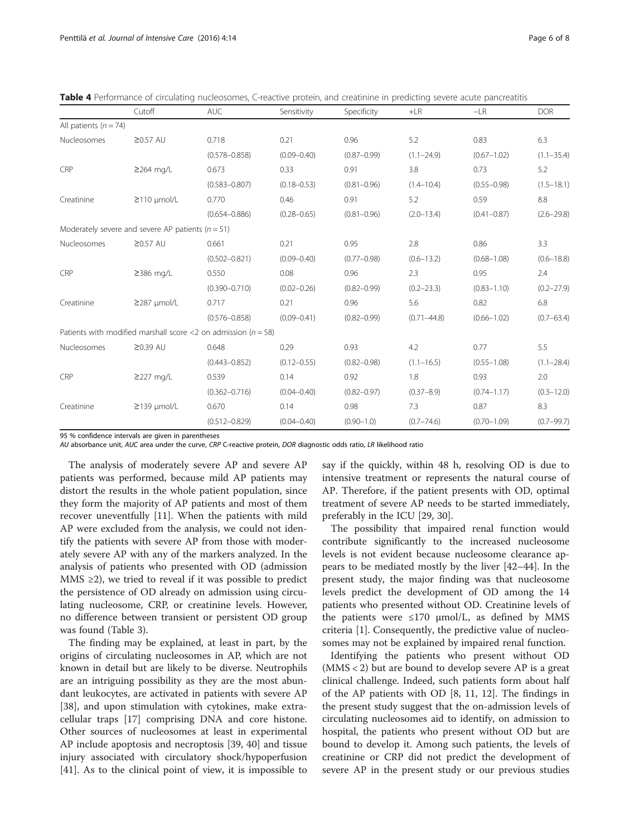<span id="page-5-0"></span>

|  | Table 4 Performance of circulating nucleosomes, C-reactive protein, and creatinine in predicting severe acute pancreatitis |  |  |  |  |  |  |  |  |  |  |  |
|--|----------------------------------------------------------------------------------------------------------------------------|--|--|--|--|--|--|--|--|--|--|--|
|--|----------------------------------------------------------------------------------------------------------------------------|--|--|--|--|--|--|--|--|--|--|--|

|                           | Cutoff                                                             | <b>AUC</b>        | Sensitivity     | Specificity     | $+LR$           | $-LR$           | <b>DOR</b>     |
|---------------------------|--------------------------------------------------------------------|-------------------|-----------------|-----------------|-----------------|-----------------|----------------|
| All patients ( $n = 74$ ) |                                                                    |                   |                 |                 |                 |                 |                |
| Nucleosomes               | $\geq$ 0.57 AU                                                     | 0.718             | 0.21            | 0.96            | 5.2             | 0.83            | 6.3            |
|                           |                                                                    | $(0.578 - 0.858)$ | $(0.09 - 0.40)$ | $(0.87 - 0.99)$ | $(1.1 - 24.9)$  | $(0.67 - 1.02)$ | $(1.1 - 35.4)$ |
| CRP                       | $\geq$ 264 mg/L                                                    | 0.673             | 0.33            | 0.91            | 3.8             | 0.73            | 5.2            |
|                           |                                                                    | $(0.583 - 0.807)$ | $(0.18 - 0.53)$ | $(0.81 - 0.96)$ | $(1.4 - 10.4)$  | $(0.55 - 0.98)$ | $(1.5 - 18.1)$ |
| Creatinine                | $\geq$ 110 µmol/L                                                  | 0.770             | 0.46            | 0.91            | 5.2             | 0.59            | 8.8            |
|                           |                                                                    | $(0.654 - 0.886)$ | $(0.28 - 0.65)$ | $(0.81 - 0.96)$ | $(2.0 - 13.4)$  | $(0.41 - 0.87)$ | $(2.6 - 29.8)$ |
|                           | Moderately severe and severe AP patients ( $n = 51$ )              |                   |                 |                 |                 |                 |                |
| <b>Nucleosomes</b>        | $\geq$ 0.57 AU                                                     | 0.661             | 0.21            | 0.95            | 2.8             | 0.86            | 3.3            |
|                           |                                                                    | $(0.502 - 0.821)$ | $(0.09 - 0.40)$ | $(0.77 - 0.98)$ | $(0.6 - 13.2)$  | $(0.68 - 1.08)$ | $(0.6 - 18.8)$ |
| CRP                       | ≥386 mg/L                                                          | 0.550             | 0.08            | 0.96            | 2.3             | 0.95            | 2.4            |
|                           |                                                                    | $(0.390 - 0.710)$ | $(0.02 - 0.26)$ | $(0.82 - 0.99)$ | $(0.2 - 23.3)$  | $(0.83 - 1.10)$ | $(0.2 - 27.9)$ |
| Creatinine                | $\geq$ 287 umol/L                                                  | 0.717             | 0.21            | 0.96            | 5.6             | 0.82            | 6.8            |
|                           |                                                                    | $(0.576 - 0.858)$ | $(0.09 - 0.41)$ | $(0.82 - 0.99)$ | $(0.71 - 44.8)$ | $(0.66 - 1.02)$ | $(0.7 - 63.4)$ |
|                           | Patients with modified marshall score <2 on admission ( $n = 58$ ) |                   |                 |                 |                 |                 |                |
| Nucleosomes               | $\geq$ 0.39 AU                                                     | 0.648             | 0.29            | 0.93            | 4.2             | 0.77            | 5.5            |
|                           |                                                                    | $(0.443 - 0.852)$ | $(0.12 - 0.55)$ | $(0.82 - 0.98)$ | $(1.1 - 16.5)$  | $(0.55 - 1.08)$ | $(1.1 - 28.4)$ |
| CRP                       | $\geq$ 227 mg/L                                                    | 0.539             | 0.14            | 0.92            | 1.8             | 0.93            | 2.0            |
|                           |                                                                    | $(0.362 - 0.716)$ | $(0.04 - 0.40)$ | $(0.82 - 0.97)$ | $(0.37 - 8.9)$  | $(0.74 - 1.17)$ | $(0.3 - 12.0)$ |
| Creatinine                | $\geq$ 139 µmol/L                                                  | 0.670             | 0.14            | 0.98            | 7.3             | 0.87            | 8.3            |
|                           |                                                                    | $(0.512 - 0.829)$ | $(0.04 - 0.40)$ | $(0.90 - 1.0)$  | $(0.7 - 74.6)$  | $(0.70 - 1.09)$ | $(0.7 - 99.7)$ |

95 % confidence intervals are given in parentheses

AU absorbance unit, AUC area under the curve, CRP C-reactive protein, DOR diagnostic odds ratio, LR likelihood ratio

The analysis of moderately severe AP and severe AP patients was performed, because mild AP patients may distort the results in the whole patient population, since they form the majority of AP patients and most of them recover uneventfully [[11](#page-7-0)]. When the patients with mild AP were excluded from the analysis, we could not identify the patients with severe AP from those with moderately severe AP with any of the markers analyzed. In the analysis of patients who presented with OD (admission MMS  $\geq$ 2), we tried to reveal if it was possible to predict the persistence of OD already on admission using circulating nucleosome, CRP, or creatinine levels. However, no difference between transient or persistent OD group was found (Table [3\)](#page-4-0).

The finding may be explained, at least in part, by the origins of circulating nucleosomes in AP, which are not known in detail but are likely to be diverse. Neutrophils are an intriguing possibility as they are the most abundant leukocytes, are activated in patients with severe AP [[38\]](#page-7-0), and upon stimulation with cytokines, make extracellular traps [\[17](#page-7-0)] comprising DNA and core histone. Other sources of nucleosomes at least in experimental AP include apoptosis and necroptosis [\[39, 40](#page-7-0)] and tissue injury associated with circulatory shock/hypoperfusion [[41\]](#page-7-0). As to the clinical point of view, it is impossible to say if the quickly, within 48 h, resolving OD is due to intensive treatment or represents the natural course of AP. Therefore, if the patient presents with OD, optimal treatment of severe AP needs to be started immediately, preferably in the ICU [\[29](#page-7-0), [30](#page-7-0)].

The possibility that impaired renal function would contribute significantly to the increased nucleosome levels is not evident because nucleosome clearance appears to be mediated mostly by the liver [\[42](#page-7-0)–[44\]](#page-7-0). In the present study, the major finding was that nucleosome levels predict the development of OD among the 14 patients who presented without OD. Creatinine levels of the patients were  $\leq 170$  µmol/L, as defined by MMS criteria [[1\]](#page-7-0). Consequently, the predictive value of nucleosomes may not be explained by impaired renal function.

Identifying the patients who present without OD  $(MMS < 2)$  but are bound to develop severe AP is a great clinical challenge. Indeed, such patients form about half of the AP patients with OD [[8, 11, 12](#page-7-0)]. The findings in the present study suggest that the on-admission levels of circulating nucleosomes aid to identify, on admission to hospital, the patients who present without OD but are bound to develop it. Among such patients, the levels of creatinine or CRP did not predict the development of severe AP in the present study or our previous studies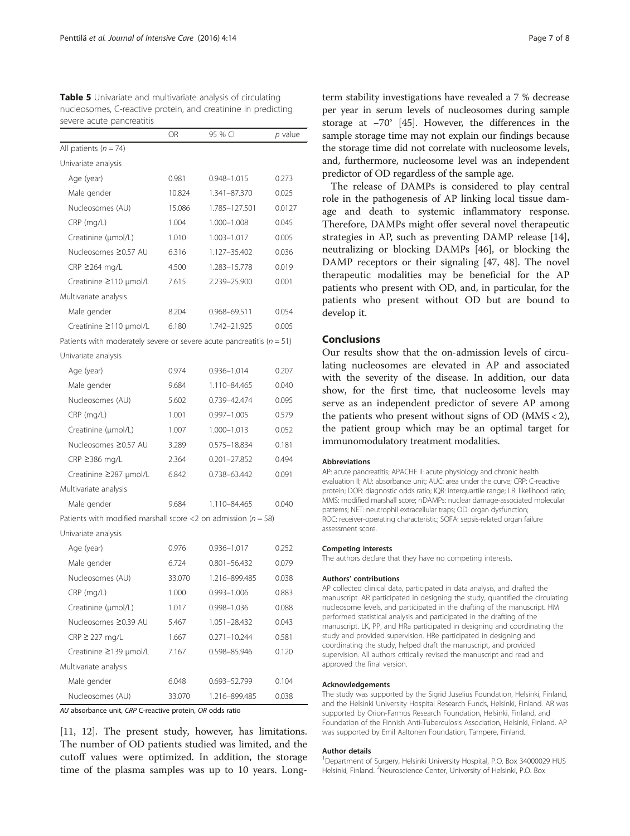<span id="page-6-0"></span>Table 5 Univariate and multivariate analysis of circulating nucleosomes, C-reactive protein, and creatinine in predicting severe acute pancreatitis

|                                                                           | OR     | 95 % CI         | p value |
|---------------------------------------------------------------------------|--------|-----------------|---------|
| All patients ( $n = 74$ )                                                 |        |                 |         |
| Univariate analysis                                                       |        |                 |         |
| Age (year)                                                                | 0.981  | 0.948-1.015     | 0.273   |
| Male gender                                                               | 10.824 | 1.341-87.370    | 0.025   |
| Nucleosomes (AU)                                                          | 15.086 | 1.785-127.501   | 0.0127  |
| CRP (mg/L)                                                                | 1.004  | 1.000-1.008     | 0.045   |
| Creatinine (µmol/L)                                                       | 1.010  | 1.003-1.017     | 0.005   |
| Nucleosomes ≥0.57 AU                                                      | 6.316  | 1.127-35.402    | 0.036   |
| CRP ≥264 mg/L                                                             | 4.500  | 1.283-15.778    | 0.019   |
| Creatinine ≥110 µmol/L                                                    | 7.615  | 2.239-25.900    | 0.001   |
| Multivariate analysis                                                     |        |                 |         |
| Male gender                                                               | 8.204  | 0.968-69.511    | 0.054   |
| Creatinine $\geq$ 110 µmol/L                                              | 6.180  | 1.742-21.925    | 0.005   |
| Patients with moderately severe or severe acute pancreatitis ( $n = 51$ ) |        |                 |         |
| Univariate analysis                                                       |        |                 |         |
| Age (year)                                                                | 0.974  | 0.936-1.014     | 0.207   |
| Male gender                                                               | 9.684  | 1.110-84.465    | 0.040   |
| Nucleosomes (AU)                                                          | 5.602  | 0.739-42.474    | 0.095   |
| CRP (mg/L)                                                                | 1.001  | $0.997 - 1.005$ | 0.579   |
| Creatinine (µmol/L)                                                       | 1.007  | 1.000-1.013     | 0.052   |
| Nucleosomes ≥0.57 AU                                                      | 3.289  | 0.575-18.834    | 0.181   |
| CRP ≥386 mg/L                                                             | 2.364  | 0.201-27.852    | 0.494   |
| Creatinine ≥287 µmol/L                                                    | 6.842  | 0.738-63.442    | 0.091   |
| Multivariate analysis                                                     |        |                 |         |
| Male gender                                                               | 9.684  | 1.110-84.465    | 0.040   |
| Patients with modified marshall score <2 on admission ( $n = 58$ )        |        |                 |         |
| Univariate analysis                                                       |        |                 |         |
| Age (year)                                                                | 0.976  | 0.936-1.017     | 0.252   |
| Male gender                                                               | 6.724  | 0.801-56.432    | 0.079   |
| Nucleosomes (AU)                                                          | 33.070 | 1.216-899.485   | 0.038   |
| CRP (mg/L)                                                                | 1.000  | $0.993 - 1.006$ | 0.883   |
| Creatinine (µmol/L)                                                       | 1.017  | 0.998-1.036     | 0.088   |
| Nucleosomes ≥0.39 AU                                                      | 5.467  | 1.051-28.432    | 0.043   |
| $CRP \geq 227$ mg/L                                                       | 1.667  | 0.271-10.244    | 0.581   |
| Creatinine ≥139 µmol/L                                                    | 7.167  | 0.598-85.946    | 0.120   |
| Multivariate analysis                                                     |        |                 |         |
| Male gender                                                               | 6.048  | 0.693–52.799    | 0.104   |
| Nucleosomes (AU)                                                          | 33.070 | 1.216–899.485   | 0.038   |
|                                                                           |        |                 |         |

AU absorbance unit, CRP C-reactive protein, OR odds ratio

[[11, 12](#page-7-0)]. The present study, however, has limitations. The number of OD patients studied was limited, and the cutoff values were optimized. In addition, the storage time of the plasma samples was up to 10 years. Long-

term stability investigations have revealed a 7 % decrease per year in serum levels of nucleosomes during sample storage at −70° [\[45\]](#page-7-0). However, the differences in the sample storage time may not explain our findings because the storage time did not correlate with nucleosome levels, and, furthermore, nucleosome level was an independent predictor of OD regardless of the sample age.

The release of DAMPs is considered to play central role in the pathogenesis of AP linking local tissue damage and death to systemic inflammatory response. Therefore, DAMPs might offer several novel therapeutic strategies in AP, such as preventing DAMP release [\[14](#page-7-0)], neutralizing or blocking DAMPs [\[46\]](#page-7-0), or blocking the DAMP receptors or their signaling [\[47](#page-7-0), [48](#page-7-0)]. The novel therapeutic modalities may be beneficial for the AP patients who present with OD, and, in particular, for the patients who present without OD but are bound to develop it.

## Conclusions

Our results show that the on-admission levels of circulating nucleosomes are elevated in AP and associated with the severity of the disease. In addition, our data show, for the first time, that nucleosome levels may serve as an independent predictor of severe AP among the patients who present without signs of OD (MMS < 2), the patient group which may be an optimal target for immunomodulatory treatment modalities.

#### Abbreviations

AP: acute pancreatitis; APACHE II: acute physiology and chronic health evaluation II; AU: absorbance unit; AUC: area under the curve; CRP: C-reactive protein; DOR: diagnostic odds ratio; IQR: interquartile range; LR: likelihood ratio; MMS: modified marshall score; nDAMPs: nuclear damage-associated molecular patterns; NET: neutrophil extracellular traps; OD: organ dysfunction; ROC: receiver-operating characteristic; SOFA: sepsis-related organ failure assessment score.

#### Competing interests

The authors declare that they have no competing interests.

#### Authors' contributions

AP collected clinical data, participated in data analysis, and drafted the manuscript. AR participated in designing the study, quantified the circulating nucleosome levels, and participated in the drafting of the manuscript. HM performed statistical analysis and participated in the drafting of the manuscript. LK, PP, and HRa participated in designing and coordinating the study and provided supervision. HRe participated in designing and coordinating the study, helped draft the manuscript, and provided supervision. All authors critically revised the manuscript and read and approved the final version.

#### Acknowledgements

The study was supported by the Sigrid Juselius Foundation, Helsinki, Finland, and the Helsinki University Hospital Research Funds, Helsinki, Finland. AR was supported by Orion-Farmos Research Foundation, Helsinki, Finland, and Foundation of the Finnish Anti-Tuberculosis Association, Helsinki, Finland. AP was supported by Emil Aaltonen Foundation, Tampere, Finland.

#### Author details

<sup>1</sup>Department of Surgery, Helsinki University Hospital, P.O. Box 34000029 HUS Helsinki, Finland. <sup>2</sup>Neuroscience Center, University of Helsinki, P.O. Box